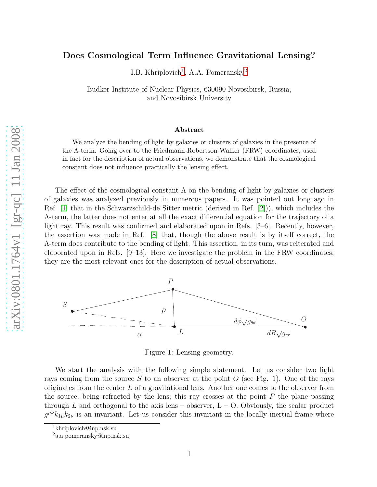## Does Cosmological Term Influence Gravitational Lensing?

I.B. Khriplovich<sup>[1](#page-0-0)</sup>, A.A. Pomeransky<sup>[2](#page-0-1)</sup>

Budker Institute of Nuclear Physics, 630090 Novosibirsk, Russia, and Novosibirsk University

## Abstract

We analyze the bending of light by galaxies or clusters of galaxies in the presence of the  $\Lambda$  term. Going over to the Friedmann-Robertson-Walker (FRW) coordinates, used in fact for the description of actual observations, we demonstrate that the cosmological constant does not influence practically the lensing effect.

The effect of the cosmological constant  $\Lambda$  on the bending of light by galaxies or clusters of galaxies was analyzed previously in numerous papers. It was pointed out long ago in Ref. [\[1\]](#page-4-0) that in the Schwarzschild-de Sitter metric (derived in Ref. [\[2\]](#page-4-1))), which includes the Λ-term, the latter does not enter at all the exact differential equation for the trajectory of a light ray. This result was confirmed and elaborated upon in Refs. [3–6]. Recently, however, the assertion was made in Ref. [\[8\]](#page-4-2) that, though the above result is by itself correct, the Λ-term does contribute to the bending of light. This assertion, in its turn, was reiterated and elaborated upon in Refs. [9–13]. Here we investigate the problem in the FRW coordinates; they are the most relevant ones for the description of actual observations.



Figure 1: Lensing geometry.

We start the analysis with the following simple statement. Let us consider two light rays coming from the source S to an observer at the point O (see Fig. 1). One of the rays originates from the center L of a gravitational lens. Another one comes to the observer from the source, being refracted by the lens; this ray crosses at the point  $P$  the plane passing through  $L$  and orthogonal to the axis lens – observer,  $L - O$ . Obviously, the scalar product  $g^{\mu\nu}k_{1\mu}k_{2\nu}$  is an invariant. Let us consider this invariant in the locally inertial frame where

<span id="page-0-1"></span><span id="page-0-0"></span>

<sup>1</sup>khriplovich@inp.nsk.su <sup>2</sup>a.a.pomeransky@inp.nsk.su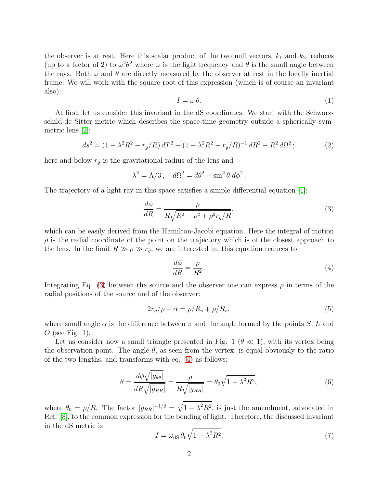the observer is at rest. Here this scalar product of the two null vectors,  $k_1$  and  $k_2$ , reduces (up to a factor of 2) to  $\omega^2 \theta^2$  where  $\omega$  is the light frequency and  $\theta$  is the small angle between the rays. Both  $\omega$  and  $\theta$  are directly measured by the observer at rest in the locally inertial frame. We will work with the square root of this expression (which is of course an invariant also):

$$
I = \omega \theta. \tag{1}
$$

At first, let us consider this invariant in the dS coordinates. We start with the Schwarzschild-de Sitter metric which describes the space-time geometry outside a spherically symmetric lens [\[2\]](#page-4-1):

<span id="page-1-3"></span>
$$
ds^{2} = (1 - \lambda^{2} R^{2} - r_{g}/R) dT^{2} - (1 - \lambda^{2} R^{2} - r_{g}/R)^{-1} dR^{2} - R^{2} d\Omega^{2};
$$
\n(2)

here and below  $r_g$  is the gravitational radius of the lens and

$$
\lambda^2 = \Lambda/3 \,, \quad d\Omega^2 = d\theta^2 + \sin^2 \theta \, d\phi^2 \,.
$$

The trajectory of a light ray in this space satisfies a simple differential equation [\[1\]](#page-4-0):

<span id="page-1-0"></span>
$$
\frac{d\phi}{dR} = \frac{\rho}{R\sqrt{R^2 - \rho^2 + \rho^2 r_g/R}},\tag{3}
$$

which can be easily derived from the Hamilton-Jacobi equation. Here the integral of motion  $\rho$  is the radial coordinate of the point on the trajectory which is of the closest approach to the lens. In the limit  $R \gg \rho \gg r_g$ , we are interested in, this equation reduces to

<span id="page-1-1"></span>
$$
\frac{d\phi}{dR} = \frac{\rho}{R^2} \,. \tag{4}
$$

Integrating Eq. [\(3\)](#page-1-0) between the source and the observer one can express  $\rho$  in terms of the radial positions of the source and of the observer:

<span id="page-1-5"></span>
$$
2r_g/\rho + \alpha = \rho/R_s + \rho/R_o,\tag{5}
$$

where small angle  $\alpha$  is the difference between  $\pi$  and the angle formed by the points S, L and O (see Fig. 1).

Let us consider now a small triangle presented in Fig. 1 ( $\theta \ll 1$ ), with its vertex being the observation point. The angle  $\theta$ , as seen from the vertex, is equal obviously to the ratio of the two lengths, and transforms with eq. [\(4\)](#page-1-1) as follows:

<span id="page-1-4"></span>
$$
\theta = \frac{d\phi\sqrt{|g_{\theta\theta}|}}{dR\sqrt{|g_{RR}|}} = \frac{\rho}{R\sqrt{|g_{RR}|}} = \theta_0\sqrt{1 - \lambda^2 R^2},\tag{6}
$$

where  $\theta_0 = \rho/R$ . The factor  $|g_{RR}|^{-1/2} = \sqrt{1 - \lambda^2 R^2}$ , is just the amendment, advocated in Ref. [\[8\]](#page-4-2), to the common expression for the bending of light. Therefore, the discussed invariant in the dS metric is

<span id="page-1-2"></span>
$$
I = \omega_{\rm dS} \,\theta_0 \sqrt{1 - \lambda^2 R^2}.\tag{7}
$$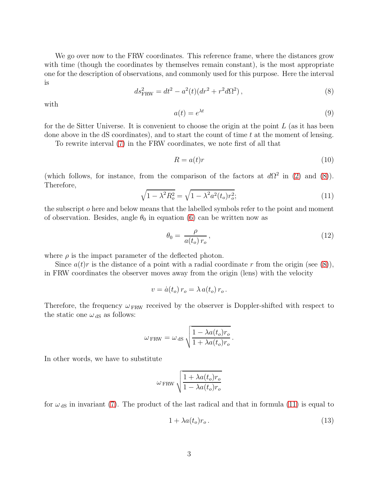We go over now to the FRW coordinates. This reference frame, where the distances grow with time (though the coordinates by themselves remain constant), is the most appropriate one for the description of observations, and commonly used for this purpose. Here the interval is

<span id="page-2-0"></span>
$$
ds_{\text{FRW}}^2 = dt^2 - a^2(t)(dr^2 + r^2d\Omega^2), \qquad (8)
$$

with

<span id="page-2-2"></span>
$$
a(t) = e^{\lambda t} \tag{9}
$$

for the de Sitter Universe. It is convenient to choose the origin at the point  $L$  (as it has been done above in the dS coordinates), and to start the count of time  $t$  at the moment of lensing.

To rewrite interval [\(7\)](#page-1-2) in the FRW coordinates, we note first of all that

<span id="page-2-3"></span>
$$
R = a(t)r \tag{10}
$$

(which follows, for instance, from the comparison of the factors at  $d\Omega^2$  in [\(2\)](#page-1-3) and [\(8\)](#page-2-0)). Therefore,

<span id="page-2-1"></span>
$$
\sqrt{1 - \lambda^2 R_o^2} = \sqrt{1 - \lambda^2 a^2 (t_o) r_o^2};
$$
\n(11)

.

the subscript o here and below means that the labelled symbols refer to the point and moment of observation. Besides, angle  $\theta_0$  in equation [\(6\)](#page-1-4) can be written now as

$$
\theta_0 = \frac{\rho}{a(t_o) r_o},\tag{12}
$$

where  $\rho$  is the impact parameter of the deflected photon.

Since  $a(t)r$  is the distance of a point with a radial coordinate r from the origin (see [\(8\)](#page-2-0)), in FRW coordinates the observer moves away from the origin (lens) with the velocity

$$
v = \dot{a}(t_o) r_o = \lambda a(t_o) r_o.
$$

Therefore, the frequency  $\omega_{FRW}$  received by the observer is Doppler-shifted with respect to the static one  $\omega_{\text{dS}}$  as follows:

$$
\omega_{\text{FRW}} = \omega_{\text{dS}} \sqrt{\frac{1 - \lambda a(t_o) r_o}{1 + \lambda a(t_o) r_o}}
$$

In other words, we have to substitute

$$
\omega_{\text{FRW}}\sqrt{\frac{1+\lambda a(t_o)r_o}{1-\lambda a(t_o)r_o}}
$$

for  $\omega_{\text{dS}}$  in invariant [\(7\)](#page-1-2). The product of the last radical and that in formula [\(11\)](#page-2-1) is equal to

$$
1 + \lambda a(t_o) r_o \,. \tag{13}
$$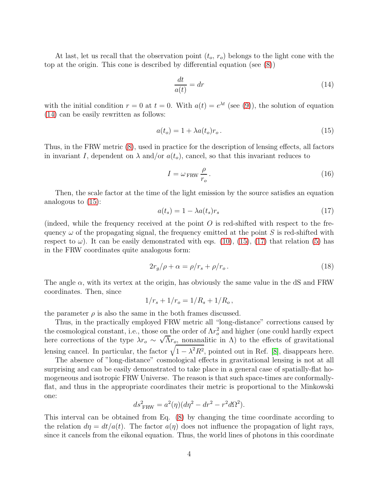At last, let us recall that the observation point  $(t_o, r_o)$  belongs to the light cone with the top at the origin. This cone is described by differential equation (see [\(8\)](#page-2-0))

<span id="page-3-0"></span>
$$
\frac{dt}{a(t)} = dr \tag{14}
$$

with the initial condition  $r = 0$  at  $t = 0$ . With  $a(t) = e^{\lambda t}$  (see [\(9\)](#page-2-2)), the solution of equation [\(14\)](#page-3-0) can be easily rewritten as follows:

<span id="page-3-1"></span>
$$
a(t_o) = 1 + \lambda a(t_o) r_o. \tag{15}
$$

Thus, in the FRW metric [\(8\)](#page-2-0), used in practice for the description of lensing effects, all factors in invariant I, dependent on  $\lambda$  and/or  $a(t_o)$ , cancel, so that this invariant reduces to

$$
I = \omega_{\text{FRW}} \frac{\rho}{r_o} \,. \tag{16}
$$

Then, the scale factor at the time of the light emission by the source satisfies an equation analogous to [\(15\)](#page-3-1):

<span id="page-3-2"></span>
$$
a(t_s) = 1 - \lambda a(t_s) r_s \tag{17}
$$

(indeed, while the frequency received at the point  $O$  is red-shifted with respect to the frequency  $\omega$  of the propagating signal, the frequency emitted at the point S is red-shifted with respect to  $\omega$ ). It can be easily demonstrated with eqs. [\(10\)](#page-2-3), [\(15\)](#page-3-1), [\(17\)](#page-3-2) that relation [\(5\)](#page-1-5) has in the FRW coordinates quite analogous form:

$$
2r_g/\rho + \alpha = \rho/r_s + \rho/r_o. \tag{18}
$$

The angle  $\alpha$ , with its vertex at the origin, has obviously the same value in the dS and FRW coordinates. Then, since

$$
1/r_s + 1/r_o = 1/R_s + 1/R_o,
$$

the parameter  $\rho$  is also the same in the both frames discussed.

Thus, in the practically employed FRW metric all "long-distance" corrections caused by the cosmological constant, i.e., those on the order of  $\Lambda r_o^2$  and higher (one could hardly expect here corrections of the type  $\lambda r_o \sim \sqrt{\Lambda} r_o$ , nonanalitic in  $\Lambda$ ) to the effects of gravitational lensing cancel. In particular, the factor  $\sqrt{1 - \lambda^2 R^2}$ , pointed out in Ref. [\[8\]](#page-4-2), disappears here.

The absence of "long-distance" cosmological effects in gravitational lensing is not at all surprising and can be easily demonstrated to take place in a general case of spatially-flat homogeneous and isotropic FRW Universe. The reason is that such space-times are conformallyflat, and thus in the appropriate coordinates their metric is proportional to the Minkowski one:

$$
ds^2_{\text{ FRW}} = a^2(\eta)(d\eta^2 - dr^2 - r^2d\Omega^2).
$$

This interval can be obtained from Eq. [\(8\)](#page-2-0) by changing the time coordinate according to the relation  $d\eta = dt/a(t)$ . The factor  $a(\eta)$  does not influence the propagation of light rays, since it cancels from the eikonal equation. Thus, the world lines of photons in this coordinate